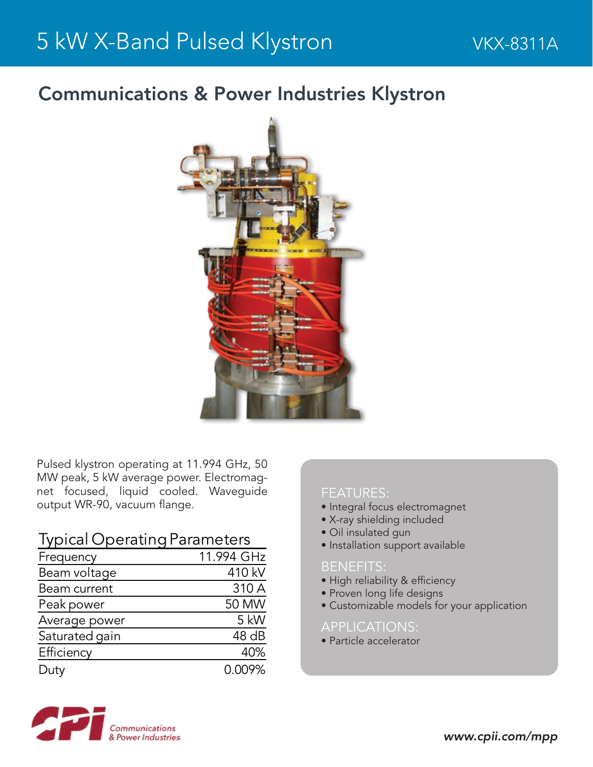### Communications & Power Industries Klystron



Pulsed klystron operating at 11.994 GHz, 50 MW peak, 5 kW average power. Electromagnet focused, liquid cooled. Waveguide output WR-90, vacuum flange.

**Typical Operating Parameters** 

| Frequency      | 11.994 GHz |
|----------------|------------|
| Beam voltage   | 410 kV     |
| Beam current   | 310 A      |
| Peak power     | 50 MW      |
| Average power  | 5 kW       |
| Saturated gain | 48 dB      |
| Efficiency     | 40%        |
| Duty           | 0.009%     |

#### FEATURES:

- Integral focus electromagnet
- X-ray shielding included
- Oil insulated gun
- Installation support available

#### BENEFITS:

- High reliability & efficiency
- Proven long life designs
- Customizable models for your application

#### APPLICATIONS:

• Particle accelerator

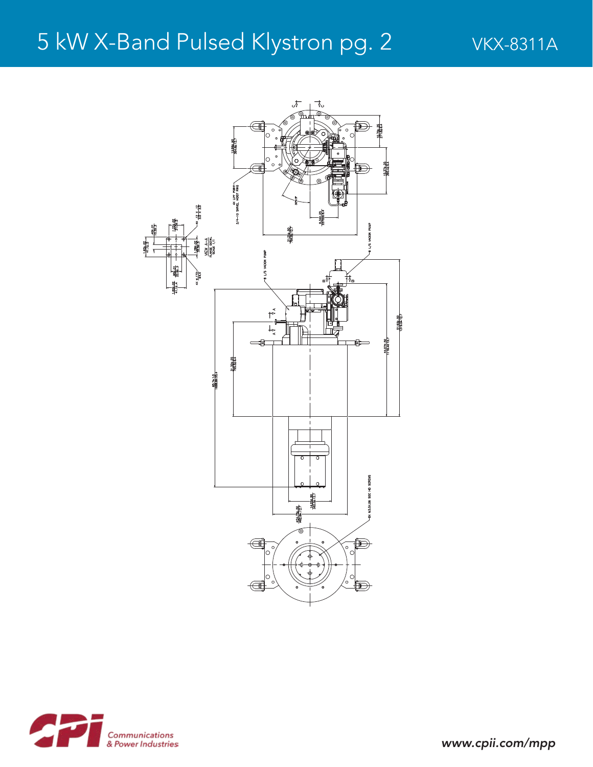# 5 kW X-Band Pulsed Klystron pg. 2 VKX-8311A





*www.cpii.com/mpp*